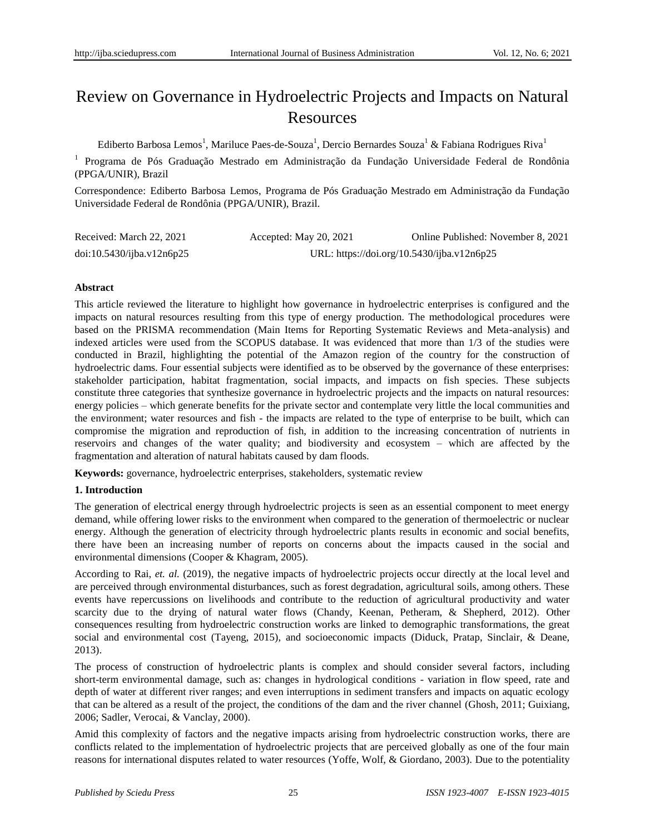# Review on Governance in Hydroelectric Projects and Impacts on Natural Resources

Ediberto Barbosa Lemos<sup>1</sup>, Mariluce Paes-de-Souza<sup>1</sup>, Dercio Bernardes Souza<sup>1</sup> & Fabiana Rodrigues Riva<sup>1</sup>

<sup>1</sup> Programa de Pós Graduação Mestrado em Administração da Fundação Universidade Federal de Rondônia (PPGA/UNIR), Brazil

Correspondence: Ediberto Barbosa Lemos, Programa de Pós Graduação Mestrado em Administração da Fundação Universidade Federal de Rondônia (PPGA/UNIR), Brazil.

| Received: March 22, 2021  | Accepted: May 20, 2021                     | Online Published: November 8, 2021 |
|---------------------------|--------------------------------------------|------------------------------------|
| doi:10.5430/ijba.v12n6p25 | URL: https://doi.org/10.5430/ijba.v12n6p25 |                                    |

## **Abstract**

This article reviewed the literature to highlight how governance in hydroelectric enterprises is configured and the impacts on natural resources resulting from this type of energy production. The methodological procedures were based on the PRISMA recommendation (Main Items for Reporting Systematic Reviews and Meta-analysis) and indexed articles were used from the SCOPUS database. It was evidenced that more than 1/3 of the studies were conducted in Brazil, highlighting the potential of the Amazon region of the country for the construction of hydroelectric dams. Four essential subjects were identified as to be observed by the governance of these enterprises: stakeholder participation, habitat fragmentation, social impacts, and impacts on fish species. These subjects constitute three categories that synthesize governance in hydroelectric projects and the impacts on natural resources: energy policies – which generate benefits for the private sector and contemplate very little the local communities and the environment; water resources and fish - the impacts are related to the type of enterprise to be built, which can compromise the migration and reproduction of fish, in addition to the increasing concentration of nutrients in reservoirs and changes of the water quality; and biodiversity and ecosystem – which are affected by the fragmentation and alteration of natural habitats caused by dam floods.

**Keywords:** governance, hydroelectric enterprises, stakeholders, systematic review

# **1. Introduction**

The generation of electrical energy through hydroelectric projects is seen as an essential component to meet energy demand, while offering lower risks to the environment when compared to the generation of thermoelectric or nuclear energy. Although the generation of electricity through hydroelectric plants results in economic and social benefits, there have been an increasing number of reports on concerns about the impacts caused in the social and environmental dimensions (Cooper & Khagram, 2005).

According to Rai, *et. al.* (2019), the negative impacts of hydroelectric projects occur directly at the local level and are perceived through environmental disturbances, such as forest degradation, agricultural soils, among others. These events have repercussions on livelihoods and contribute to the reduction of agricultural productivity and water scarcity due to the drying of natural water flows (Chandy, Keenan, Petheram, & Shepherd, 2012). Other consequences resulting from hydroelectric construction works are linked to demographic transformations, the great social and environmental cost (Tayeng, 2015), and socioeconomic impacts (Diduck, Pratap, Sinclair, & Deane, 2013).

The process of construction of hydroelectric plants is complex and should consider several factors, including short-term environmental damage, such as: changes in hydrological conditions - variation in flow speed, rate and depth of water at different river ranges; and even interruptions in sediment transfers and impacts on aquatic ecology that can be altered as a result of the project, the conditions of the dam and the river channel (Ghosh, 2011; Guixiang, 2006; Sadler, Verocai, & Vanclay, 2000).

Amid this complexity of factors and the negative impacts arising from hydroelectric construction works, there are conflicts related to the implementation of hydroelectric projects that are perceived globally as one of the four main reasons for international disputes related to water resources (Yoffe, Wolf, & Giordano, 2003). Due to the potentiality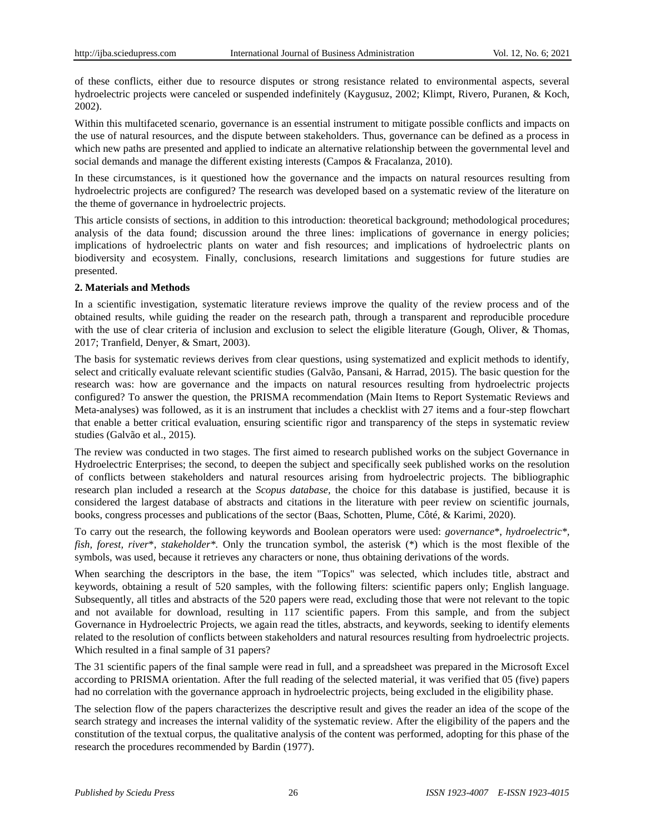of these conflicts, either due to resource disputes or strong resistance related to environmental aspects, several hydroelectric projects were canceled or suspended indefinitely (Kaygusuz, 2002; Klimpt, Rivero, Puranen, & Koch, 2002).

Within this multifaceted scenario, governance is an essential instrument to mitigate possible conflicts and impacts on the use of natural resources, and the dispute between stakeholders. Thus, governance can be defined as a process in which new paths are presented and applied to indicate an alternative relationship between the governmental level and social demands and manage the different existing interests (Campos & Fracalanza, 2010).

In these circumstances, is it questioned how the governance and the impacts on natural resources resulting from hydroelectric projects are configured? The research was developed based on a systematic review of the literature on the theme of governance in hydroelectric projects.

This article consists of sections, in addition to this introduction: theoretical background; methodological procedures; analysis of the data found; discussion around the three lines: implications of governance in energy policies; implications of hydroelectric plants on water and fish resources; and implications of hydroelectric plants on biodiversity and ecosystem. Finally, conclusions, research limitations and suggestions for future studies are presented.

#### **2. Materials and Methods**

In a scientific investigation, systematic literature reviews improve the quality of the review process and of the obtained results, while guiding the reader on the research path, through a transparent and reproducible procedure with the use of clear criteria of inclusion and exclusion to select the eligible literature (Gough, Oliver, & Thomas, 2017; Tranfield, Denyer, & Smart, 2003).

The basis for systematic reviews derives from clear questions, using systematized and explicit methods to identify, select and critically evaluate relevant scientific studies (Galvão, Pansani, & Harrad, 2015). The basic question for the research was: how are governance and the impacts on natural resources resulting from hydroelectric projects configured? To answer the question, the PRISMA recommendation (Main Items to Report Systematic Reviews and Meta-analyses) was followed, as it is an instrument that includes a checklist with 27 items and a four-step flowchart that enable a better critical evaluation, ensuring scientific rigor and transparency of the steps in systematic review studies (Galvão et al., 2015).

The review was conducted in two stages. The first aimed to research published works on the subject Governance in Hydroelectric Enterprises; the second, to deepen the subject and specifically seek published works on the resolution of conflicts between stakeholders and natural resources arising from hydroelectric projects. The bibliographic research plan included a research at the *Scopus database,* the choice for this database is justified, because it is considered the largest database of abstracts and citations in the literature with peer review on scientific journals, books, congress processes and publications of the sector (Baas, Schotten, Plume,  $C\hat{\alpha} \in \&$  Karimi, 2020).

To carry out the research, the following keywords and Boolean operators were used: *governance*\*, *hydroelectric\*, fish, forest, river*\*, *stakeholder\*.* Only the truncation symbol, the asterisk (\*) which is the most flexible of the symbols, was used, because it retrieves any characters or none, thus obtaining derivations of the words.

When searching the descriptors in the base, the item "Topics" was selected, which includes title, abstract and keywords, obtaining a result of 520 samples, with the following filters: scientific papers only; English language. Subsequently, all titles and abstracts of the 520 papers were read, excluding those that were not relevant to the topic and not available for download*,* resulting in 117 scientific papers. From this sample, and from the subject Governance in Hydroelectric Projects, we again read the titles, abstracts, and keywords, seeking to identify elements related to the resolution of conflicts between stakeholders and natural resources resulting from hydroelectric projects. Which resulted in a final sample of 31 papers?

The 31 scientific papers of the final sample were read in full, and a spreadsheet was prepared in the Microsoft Excel according to PRISMA orientation. After the full reading of the selected material, it was verified that 05 (five) papers had no correlation with the governance approach in hydroelectric projects, being excluded in the eligibility phase.

The selection flow of the papers characterizes the descriptive result and gives the reader an idea of the scope of the search strategy and increases the internal validity of the systematic review. After the eligibility of the papers and the constitution of the textual corpus, the qualitative analysis of the content was performed, adopting for this phase of the research the procedures recommended by Bardin (1977).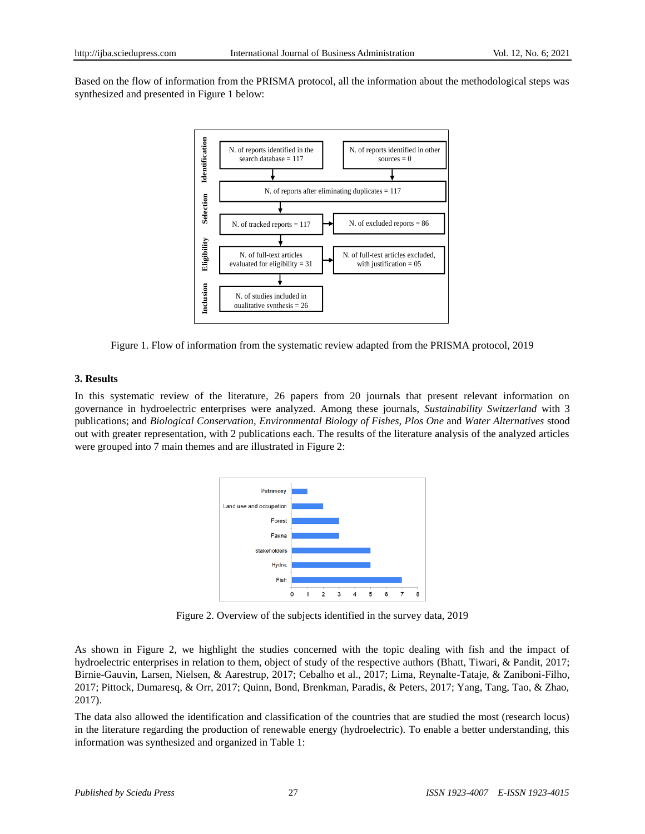Based on the flow of information from the PRISMA protocol, all the information about the methodological steps was synthesized and presented in Figure 1 below:



Figure 1. Flow of information from the systematic review adapted from the PRISMA protocol, 2019

#### **3. Results**

In this systematic review of the literature, 26 papers from 20 journals that present relevant information on governance in hydroelectric enterprises were analyzed. Among these journals, *Sustainability Switzerland* with 3 publications; and *Biological Conservation, Environmental Biology of Fishes, Plos One* and *Water Alternatives* stood out with greater representation, with 2 publications each. The results of the literature analysis of the analyzed articles were grouped into 7 main themes and are illustrated in Figure 2:



Figure 2. Overview of the subjects identified in the survey data, 2019

As shown in Figure 2, we highlight the studies concerned with the topic dealing with fish and the impact of hydroelectric enterprises in relation to them, object of study of the respective authors (Bhatt, Tiwari, & Pandit, 2017; Birnie-Gauvin, Larsen, Nielsen, & Aarestrup, 2017; Cebalho et al., 2017; Lima, Reynalte-Tataje, & Zaniboni-Filho, 2017; Pittock, Dumaresq, & Orr, 2017; Quinn, Bond, Brenkman, Paradis, & Peters, 2017; Yang, Tang, Tao, & Zhao, 2017).

The data also allowed the identification and classification of the countries that are studied the most (research locus) in the literature regarding the production of renewable energy (hydroelectric). To enable a better understanding, this information was synthesized and organized in Table 1: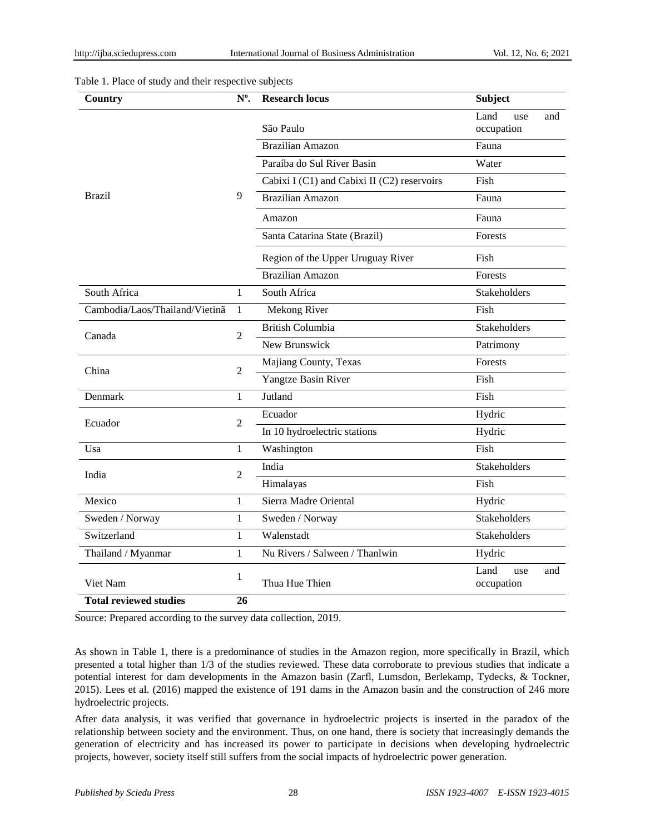#### Table 1. Place of study and their respective subjects

| Country                         | $No$ .         | <b>Research locus</b>                       | <b>Subject</b>                   |
|---------------------------------|----------------|---------------------------------------------|----------------------------------|
| <b>Brazil</b>                   | 9              | São Paulo                                   | Land<br>use<br>and<br>occupation |
|                                 |                | <b>Brazilian Amazon</b>                     | Fauna                            |
|                                 |                | Para ba do Sul River Basin                  | Water                            |
|                                 |                | Cabixi I (C1) and Cabixi II (C2) reservoirs | Fish                             |
|                                 |                |                                             |                                  |
|                                 |                | <b>Brazilian Amazon</b>                     | Fauna                            |
|                                 |                | Amazon                                      | Fauna                            |
|                                 |                | Santa Catarina State (Brazil)               | Forests                          |
|                                 |                | Region of the Upper Uruguay River           | Fish                             |
|                                 |                | <b>Brazilian Amazon</b>                     | Forests                          |
| South Africa                    | 1              | South Africa                                | Stakeholders                     |
| Cambodia/Laos/Thailand/Vietin ã | 1              | Mekong River                                | Fish                             |
| Canada                          | $\overline{2}$ | <b>British Columbia</b>                     | Stakeholders                     |
|                                 |                | New Brunswick                               | Patrimony                        |
| China                           | $\overline{2}$ | Majiang County, Texas                       | Forests                          |
|                                 |                | Yangtze Basin River                         | Fish                             |
| Denmark                         | $\mathbf{1}$   | Jutland                                     | Fish                             |
| Ecuador                         | 2              | Ecuador                                     | Hydric                           |
|                                 |                | In 10 hydroelectric stations                | Hydric                           |
| Usa                             | $\mathbf{1}$   | Washington                                  | Fish                             |
| India                           | 2              | India                                       | Stakeholders                     |
|                                 |                | Himalayas                                   | Fish                             |
| Mexico                          | 1              | Sierra Madre Oriental                       | Hydric                           |
| Sweden / Norway                 | $\mathbf{1}$   | Sweden / Norway                             | <b>Stakeholders</b>              |
| Switzerland                     | $\mathbf{1}$   | Walenstadt                                  | Stakeholders                     |
| Thailand / Myanmar              | $\mathbf{1}$   | Nu Rivers / Salween / Thanlwin              | Hydric                           |
| Viet Nam                        | 1              |                                             | Land<br>use<br>and               |
|                                 |                | Thua Hue Thien                              | occupation                       |
| <b>Total reviewed studies</b>   | 26             |                                             |                                  |

Source: Prepared according to the survey data collection, 2019.

As shown in Table 1, there is a predominance of studies in the Amazon region, more specifically in Brazil, which presented a total higher than 1/3 of the studies reviewed. These data corroborate to previous studies that indicate a potential interest for dam developments in the Amazon basin (Zarfl, Lumsdon, Berlekamp, Tydecks, & Tockner, 2015). Lees et al. (2016) mapped the existence of 191 dams in the Amazon basin and the construction of 246 more hydroelectric projects.

After data analysis, it was verified that governance in hydroelectric projects is inserted in the paradox of the relationship between society and the environment. Thus, on one hand, there is society that increasingly demands the generation of electricity and has increased its power to participate in decisions when developing hydroelectric projects, however, society itself still suffers from the social impacts of hydroelectric power generation.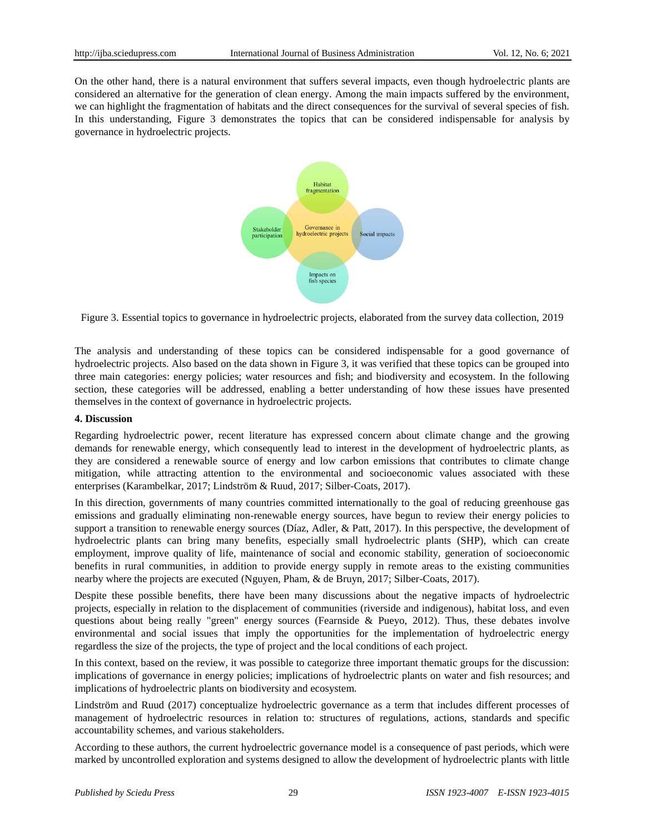On the other hand, there is a natural environment that suffers several impacts, even though hydroelectric plants are considered an alternative for the generation of clean energy. Among the main impacts suffered by the environment, we can highlight the fragmentation of habitats and the direct consequences for the survival of several species of fish. In this understanding, Figure 3 demonstrates the topics that can be considered indispensable for analysis by governance in hydroelectric projects.



Figure 3. Essential topics to governance in hydroelectric projects, elaborated from the survey data collection, 2019

The analysis and understanding of these topics can be considered indispensable for a good governance of hydroelectric projects. Also based on the data shown in Figure 3, it was verified that these topics can be grouped into three main categories: energy policies; water resources and fish; and biodiversity and ecosystem. In the following section, these categories will be addressed, enabling a better understanding of how these issues have presented themselves in the context of governance in hydroelectric projects.

#### **4. Discussion**

Regarding hydroelectric power, recent literature has expressed concern about climate change and the growing demands for renewable energy, which consequently lead to interest in the development of hydroelectric plants, as they are considered a renewable source of energy and low carbon emissions that contributes to climate change mitigation, while attracting attention to the environmental and socioeconomic values associated with these enterprises (Karambelkar, 2017; Lindström & Ruud, 2017; Silber-Coats, 2017).

In this direction, governments of many countries committed internationally to the goal of reducing greenhouse gas emissions and gradually eliminating non-renewable energy sources, have begun to review their energy policies to support a transition to renewable energy sources (D  $\acute{\text{a}}z$ , Adler, & Patt, 2017). In this perspective, the development of hydroelectric plants can bring many benefits, especially small hydroelectric plants (SHP), which can create employment, improve quality of life, maintenance of social and economic stability, generation of socioeconomic benefits in rural communities, in addition to provide energy supply in remote areas to the existing communities nearby where the projects are executed (Nguyen, Pham, & de Bruyn, 2017; Silber-Coats, 2017).

Despite these possible benefits, there have been many discussions about the negative impacts of hydroelectric projects, especially in relation to the displacement of communities (riverside and indigenous), habitat loss, and even questions about being really "green" energy sources (Fearnside & Pueyo, 2012). Thus, these debates involve environmental and social issues that imply the opportunities for the implementation of hydroelectric energy regardless the size of the projects, the type of project and the local conditions of each project.

In this context, based on the review, it was possible to categorize three important thematic groups for the discussion: implications of governance in energy policies; implications of hydroelectric plants on water and fish resources; and implications of hydroelectric plants on biodiversity and ecosystem.

Lindström and Ruud (2017) conceptualize hydroelectric governance as a term that includes different processes of management of hydroelectric resources in relation to: structures of regulations, actions, standards and specific accountability schemes, and various stakeholders.

According to these authors, the current hydroelectric governance model is a consequence of past periods, which were marked by uncontrolled exploration and systems designed to allow the development of hydroelectric plants with little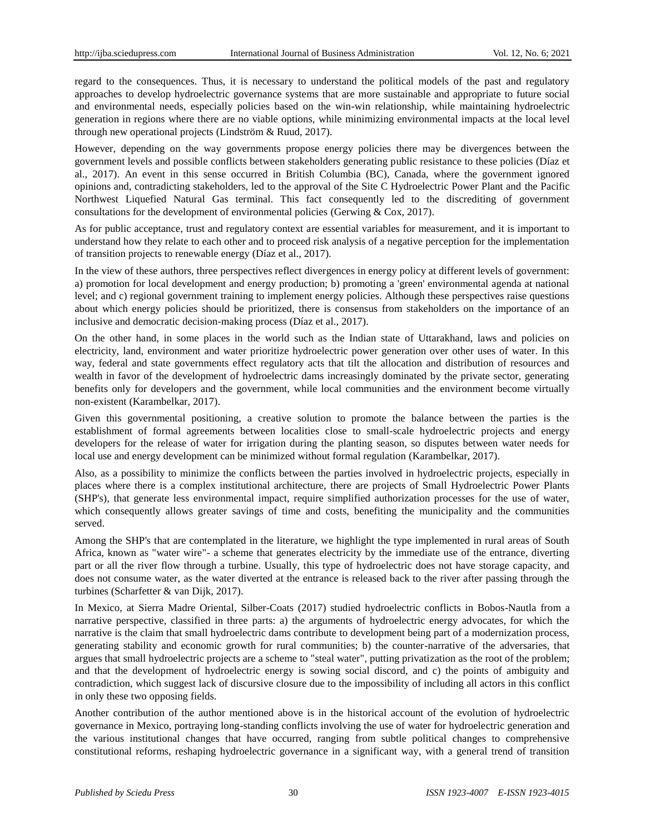regard to the consequences. Thus, it is necessary to understand the political models of the past and regulatory approaches to develop hydroelectric governance systems that are more sustainable and appropriate to future social and environmental needs, especially policies based on the win-win relationship, while maintaining hydroelectric generation in regions where there are no viable options, while minimizing environmental impacts at the local level through new operational projects (Lindström & Ruud, 2017).

However, depending on the way governments propose energy policies there may be divergences between the government levels and possible conflicts between stakeholders generating public resistance to these policies (Díaz et al., 2017). An event in this sense occurred in British Columbia (BC), Canada, where the government ignored opinions and, contradicting stakeholders, led to the approval of the Site C Hydroelectric Power Plant and the Pacific Northwest Liquefied Natural Gas terminal. This fact consequently led to the discrediting of government consultations for the development of environmental policies (Gerwing & Cox, 2017).

As for public acceptance, trust and regulatory context are essential variables for measurement, and it is important to understand how they relate to each other and to proceed risk analysis of a negative perception for the implementation of transition projects to renewable energy (Díaz et al., 2017).

In the view of these authors, three perspectives reflect divergences in energy policy at different levels of government: a) promotion for local development and energy production; b) promoting a 'green' environmental agenda at national level; and c) regional government training to implement energy policies. Although these perspectives raise questions about which energy policies should be prioritized, there is consensus from stakeholders on the importance of an inclusive and democratic decision-making process (D  $\alpha$ z et al., 2017).

On the other hand, in some places in the world such as the Indian state of Uttarakhand, laws and policies on electricity, land, environment and water prioritize hydroelectric power generation over other uses of water. In this way, federal and state governments effect regulatory acts that tilt the allocation and distribution of resources and wealth in favor of the development of hydroelectric dams increasingly dominated by the private sector, generating benefits only for developers and the government, while local communities and the environment become virtually non-existent (Karambelkar, 2017).

Given this governmental positioning, a creative solution to promote the balance between the parties is the establishment of formal agreements between localities close to small-scale hydroelectric projects and energy developers for the release of water for irrigation during the planting season, so disputes between water needs for local use and energy development can be minimized without formal regulation (Karambelkar, 2017).

Also, as a possibility to minimize the conflicts between the parties involved in hydroelectric projects, especially in places where there is a complex institutional architecture, there are projects of Small Hydroelectric Power Plants (SHP's), that generate less environmental impact, require simplified authorization processes for the use of water, which consequently allows greater savings of time and costs, benefiting the municipality and the communities served.

Among the SHP's that are contemplated in the literature, we highlight the type implemented in rural areas of South Africa, known as "water wire"- a scheme that generates electricity by the immediate use of the entrance, diverting part or all the river flow through a turbine. Usually, this type of hydroelectric does not have storage capacity, and does not consume water, as the water diverted at the entrance is released back to the river after passing through the turbines (Scharfetter & van Dijk, 2017).

In Mexico, at Sierra Madre Oriental, Silber-Coats (2017) studied hydroelectric conflicts in Bobos-Nautla from a narrative perspective, classified in three parts: a) the arguments of hydroelectric energy advocates, for which the narrative is the claim that small hydroelectric dams contribute to development being part of a modernization process, generating stability and economic growth for rural communities; b) the counter-narrative of the adversaries, that argues that small hydroelectric projects are a scheme to "steal water", putting privatization as the root of the problem; and that the development of hydroelectric energy is sowing social discord, and c) the points of ambiguity and contradiction, which suggest lack of discursive closure due to the impossibility of including all actors in this conflict in only these two opposing fields.

Another contribution of the author mentioned above is in the historical account of the evolution of hydroelectric governance in Mexico, portraying long-standing conflicts involving the use of water for hydroelectric generation and the various institutional changes that have occurred, ranging from subtle political changes to comprehensive constitutional reforms, reshaping hydroelectric governance in a significant way, with a general trend of transition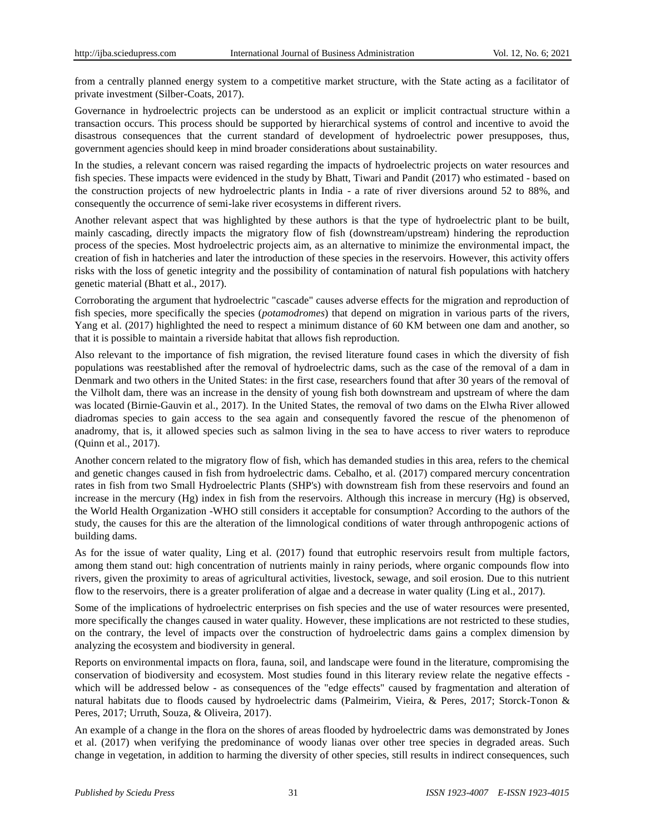from a centrally planned energy system to a competitive market structure, with the State acting as a facilitator of private investment (Silber-Coats, 2017).

Governance in hydroelectric projects can be understood as an explicit or implicit contractual structure within a transaction occurs. This process should be supported by hierarchical systems of control and incentive to avoid the disastrous consequences that the current standard of development of hydroelectric power presupposes, thus, government agencies should keep in mind broader considerations about sustainability.

In the studies, a relevant concern was raised regarding the impacts of hydroelectric projects on water resources and fish species. These impacts were evidenced in the study by Bhatt, Tiwari and Pandit (2017) who estimated - based on the construction projects of new hydroelectric plants in India - a rate of river diversions around 52 to 88%, and consequently the occurrence of semi-lake river ecosystems in different rivers.

Another relevant aspect that was highlighted by these authors is that the type of hydroelectric plant to be built, mainly cascading, directly impacts the migratory flow of fish (downstream/upstream) hindering the reproduction process of the species. Most hydroelectric projects aim, as an alternative to minimize the environmental impact, the creation of fish in hatcheries and later the introduction of these species in the reservoirs. However, this activity offers risks with the loss of genetic integrity and the possibility of contamination of natural fish populations with hatchery genetic material (Bhatt et al., 2017).

Corroborating the argument that hydroelectric "cascade" causes adverse effects for the migration and reproduction of fish species, more specifically the species (*potamodromes*) that depend on migration in various parts of the rivers, Yang et al. (2017) highlighted the need to respect a minimum distance of 60 KM between one dam and another, so that it is possible to maintain a riverside habitat that allows fish reproduction.

Also relevant to the importance of fish migration, the revised literature found cases in which the diversity of fish populations was reestablished after the removal of hydroelectric dams, such as the case of the removal of a dam in Denmark and two others in the United States: in the first case, researchers found that after 30 years of the removal of the Vilholt dam, there was an increase in the density of young fish both downstream and upstream of where the dam was located (Birnie-Gauvin et al., 2017). In the United States, the removal of two dams on the Elwha River allowed diadromas species to gain access to the sea again and consequently favored the rescue of the phenomenon of anadromy, that is, it allowed species such as salmon living in the sea to have access to river waters to reproduce (Quinn et al., 2017).

Another concern related to the migratory flow of fish, which has demanded studies in this area, refers to the chemical and genetic changes caused in fish from hydroelectric dams. Cebalho, et al. (2017) compared mercury concentration rates in fish from two Small Hydroelectric Plants (SHP's) with downstream fish from these reservoirs and found an increase in the mercury (Hg) index in fish from the reservoirs. Although this increase in mercury (Hg) is observed, the World Health Organization -WHO still considers it acceptable for consumption? According to the authors of the study, the causes for this are the alteration of the limnological conditions of water through anthropogenic actions of building dams.

As for the issue of water quality, Ling et al. (2017) found that eutrophic reservoirs result from multiple factors, among them stand out: high concentration of nutrients mainly in rainy periods, where organic compounds flow into rivers, given the proximity to areas of agricultural activities, livestock, sewage, and soil erosion. Due to this nutrient flow to the reservoirs, there is a greater proliferation of algae and a decrease in water quality (Ling et al., 2017).

Some of the implications of hydroelectric enterprises on fish species and the use of water resources were presented, more specifically the changes caused in water quality. However, these implications are not restricted to these studies, on the contrary, the level of impacts over the construction of hydroelectric dams gains a complex dimension by analyzing the ecosystem and biodiversity in general.

Reports on environmental impacts on flora, fauna, soil, and landscape were found in the literature, compromising the conservation of biodiversity and ecosystem. Most studies found in this literary review relate the negative effects which will be addressed below - as consequences of the "edge effects" caused by fragmentation and alteration of natural habitats due to floods caused by hydroelectric dams (Palmeirim, Vieira, & Peres, 2017; Storck-Tonon & Peres, 2017; Urruth, Souza, & Oliveira, 2017).

An example of a change in the flora on the shores of areas flooded by hydroelectric dams was demonstrated by Jones et al. (2017) when verifying the predominance of woody lianas over other tree species in degraded areas. Such change in vegetation, in addition to harming the diversity of other species, still results in indirect consequences, such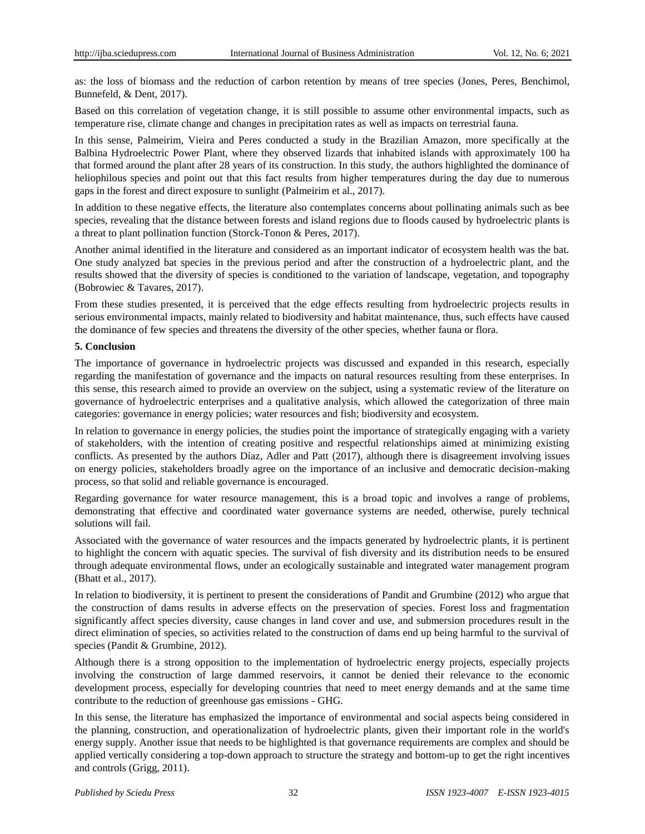as: the loss of biomass and the reduction of carbon retention by means of tree species (Jones, Peres, Benchimol, Bunnefeld, & Dent, 2017).

Based on this correlation of vegetation change, it is still possible to assume other environmental impacts, such as temperature rise, climate change and changes in precipitation rates as well as impacts on terrestrial fauna.

In this sense, Palmeirim, Vieira and Peres conducted a study in the Brazilian Amazon, more specifically at the Balbina Hydroelectric Power Plant, where they observed lizards that inhabited islands with approximately 100 ha that formed around the plant after 28 years of its construction. In this study, the authors highlighted the dominance of heliophilous species and point out that this fact results from higher temperatures during the day due to numerous gaps in the forest and direct exposure to sunlight (Palmeirim et al., 2017).

In addition to these negative effects, the literature also contemplates concerns about pollinating animals such as bee species, revealing that the distance between forests and island regions due to floods caused by hydroelectric plants is a threat to plant pollination function (Storck-Tonon & Peres, 2017).

Another animal identified in the literature and considered as an important indicator of ecosystem health was the bat. One study analyzed bat species in the previous period and after the construction of a hydroelectric plant, and the results showed that the diversity of species is conditioned to the variation of landscape, vegetation, and topography (Bobrowiec & Tavares, 2017).

From these studies presented, it is perceived that the edge effects resulting from hydroelectric projects results in serious environmental impacts, mainly related to biodiversity and habitat maintenance, thus, such effects have caused the dominance of few species and threatens the diversity of the other species, whether fauna or flora.

## **5. Conclusion**

The importance of governance in hydroelectric projects was discussed and expanded in this research, especially regarding the manifestation of governance and the impacts on natural resources resulting from these enterprises. In this sense, this research aimed to provide an overview on the subject, using a systematic review of the literature on governance of hydroelectric enterprises and a qualitative analysis, which allowed the categorization of three main categories: governance in energy policies; water resources and fish; biodiversity and ecosystem.

In relation to governance in energy policies, the studies point the importance of strategically engaging with a variety of stakeholders, with the intention of creating positive and respectful relationships aimed at minimizing existing conflicts. As presented by the authors  $D$  and  $R$  and  $R$  and  $P$  at (2017), although there is disagreement involving issues on energy policies, stakeholders broadly agree on the importance of an inclusive and democratic decision-making process, so that solid and reliable governance is encouraged.

Regarding governance for water resource management, this is a broad topic and involves a range of problems, demonstrating that effective and coordinated water governance systems are needed, otherwise, purely technical solutions will fail.

Associated with the governance of water resources and the impacts generated by hydroelectric plants, it is pertinent to highlight the concern with aquatic species. The survival of fish diversity and its distribution needs to be ensured through adequate environmental flows, under an ecologically sustainable and integrated water management program (Bhatt et al., 2017).

In relation to biodiversity, it is pertinent to present the considerations of Pandit and Grumbine (2012) who argue that the construction of dams results in adverse effects on the preservation of species. Forest loss and fragmentation significantly affect species diversity, cause changes in land cover and use, and submersion procedures result in the direct elimination of species, so activities related to the construction of dams end up being harmful to the survival of species (Pandit & Grumbine, 2012).

Although there is a strong opposition to the implementation of hydroelectric energy projects, especially projects involving the construction of large dammed reservoirs, it cannot be denied their relevance to the economic development process, especially for developing countries that need to meet energy demands and at the same time contribute to the reduction of greenhouse gas emissions - GHG.

In this sense, the literature has emphasized the importance of environmental and social aspects being considered in the planning, construction, and operationalization of hydroelectric plants, given their important role in the world's energy supply. Another issue that needs to be highlighted is that governance requirements are complex and should be applied vertically considering a top-down approach to structure the strategy and bottom-up to get the right incentives and controls (Grigg, 2011).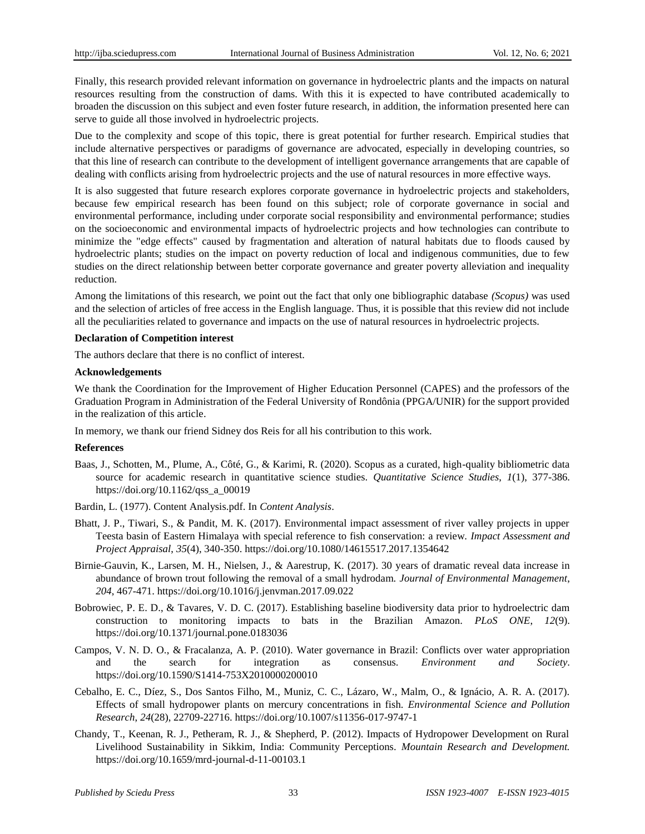Finally, this research provided relevant information on governance in hydroelectric plants and the impacts on natural resources resulting from the construction of dams. With this it is expected to have contributed academically to broaden the discussion on this subject and even foster future research, in addition, the information presented here can serve to guide all those involved in hydroelectric projects.

Due to the complexity and scope of this topic, there is great potential for further research. Empirical studies that include alternative perspectives or paradigms of governance are advocated, especially in developing countries, so that this line of research can contribute to the development of intelligent governance arrangements that are capable of dealing with conflicts arising from hydroelectric projects and the use of natural resources in more effective ways.

It is also suggested that future research explores corporate governance in hydroelectric projects and stakeholders, because few empirical research has been found on this subject; role of corporate governance in social and environmental performance, including under corporate social responsibility and environmental performance; studies on the socioeconomic and environmental impacts of hydroelectric projects and how technologies can contribute to minimize the "edge effects" caused by fragmentation and alteration of natural habitats due to floods caused by hydroelectric plants; studies on the impact on poverty reduction of local and indigenous communities, due to few studies on the direct relationship between better corporate governance and greater poverty alleviation and inequality reduction.

Among the limitations of this research, we point out the fact that only one bibliographic database *(Scopus)* was used and the selection of articles of free access in the English language. Thus, it is possible that this review did not include all the peculiarities related to governance and impacts on the use of natural resources in hydroelectric projects.

#### **Declaration of Competition interest**

The authors declare that there is no conflict of interest.

#### **Acknowledgements**

We thank the Coordination for the Improvement of Higher Education Personnel (CAPES) and the professors of the Graduation Program in Administration of the Federal University of Rondônia (PPGA/UNIR) for the support provided in the realization of this article.

In memory, we thank our friend Sidney dos Reis for all his contribution to this work.

#### **References**

- Baas, J., Schotten, M., Plume, A., Côté, G., & Karimi, R. (2020). Scopus as a curated, high-quality bibliometric data source for academic research in quantitative science studies. *Quantitative Science Studies*, *1*(1), 377-386. https://doi.org/10.1162/qss\_a\_00019
- Bardin, L. (1977). Content Analysis.pdf. In *Content Analysis*.
- Bhatt, J. P., Tiwari, S., & Pandit, M. K. (2017). Environmental impact assessment of river valley projects in upper Teesta basin of Eastern Himalaya with special reference to fish conservation: a review. *Impact Assessment and Project Appraisal*, *35*(4), 340-350. https://doi.org/10.1080/14615517.2017.1354642
- Birnie-Gauvin, K., Larsen, M. H., Nielsen, J., & Aarestrup, K. (2017). 30 years of dramatic reveal data increase in abundance of brown trout following the removal of a small hydrodam. *Journal of Environmental Management*, *204*, 467-471. https://doi.org/10.1016/j.jenvman.2017.09.022
- Bobrowiec, P. E. D., & Tavares, V. D. C. (2017). Establishing baseline biodiversity data prior to hydroelectric dam construction to monitoring impacts to bats in the Brazilian Amazon. *PLoS ONE*, *12*(9). https://doi.org/10.1371/journal.pone.0183036
- Campos, V. N. D. O., & Fracalanza, A. P. (2010). Water governance in Brazil: Conflicts over water appropriation and the search for integration as consensus. *Environment and Society*. https://doi.org/10.1590/S1414-753X2010000200010
- Cebalho, E. C., Díez, S., Dos Santos Filho, M., Muniz, C. C., Lázaro, W., Malm, O., & Ignácio, A. R. A. (2017). Effects of small hydropower plants on mercury concentrations in fish. *Environmental Science and Pollution Research*, *24*(28), 22709-22716. https://doi.org/10.1007/s11356-017-9747-1
- Chandy, T., Keenan, R. J., Petheram, R. J., & Shepherd, P. (2012). Impacts of Hydropower Development on Rural Livelihood Sustainability in Sikkim, India: Community Perceptions. *Mountain Research and Development.* https://doi.org/10.1659/mrd-journal-d-11-00103.1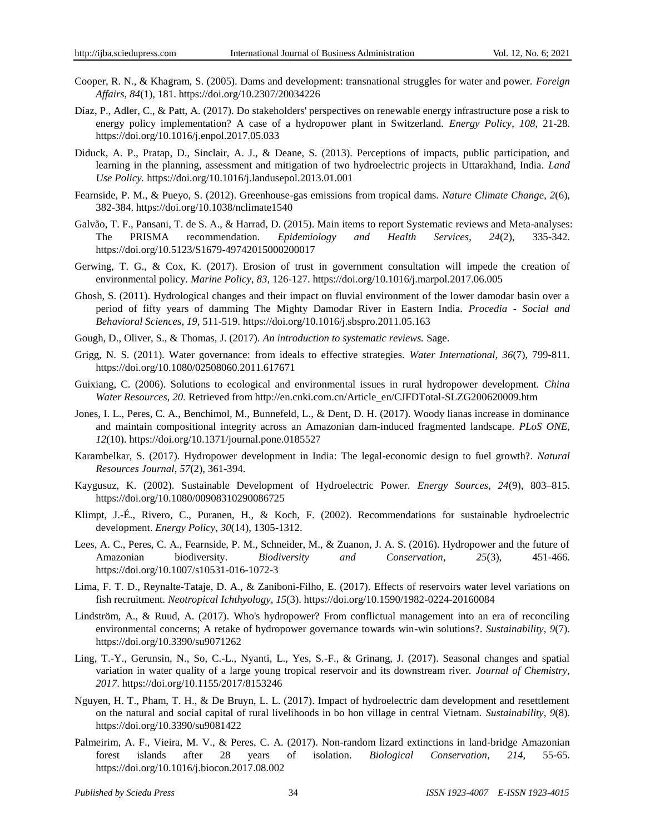- Cooper, R. N., & Khagram, S. (2005). Dams and development: transnational struggles for water and power. *Foreign Affairs*, *84*(1), 181. https://doi.org/10.2307/20034226
- Díaz, P., Adler, C., & Patt, A. (2017). Do stakeholders' perspectives on renewable energy infrastructure pose a risk to energy policy implementation? A case of a hydropower plant in Switzerland. *Energy Policy*, *108*, 21-28. https://doi.org/10.1016/j.enpol.2017.05.033
- Diduck, A. P., Pratap, D., Sinclair, A. J., & Deane, S. (2013). Perceptions of impacts, public participation, and learning in the planning, assessment and mitigation of two hydroelectric projects in Uttarakhand, India. *Land Use Policy.* https://doi.org/10.1016/j.landusepol.2013.01.001
- Fearnside, P. M., & Pueyo, S. (2012). Greenhouse-gas emissions from tropical dams. *Nature Climate Change*, *2*(6), 382-384. https://doi.org/10.1038/nclimate1540
- Galvão, T. F., Pansani, T. de S. A., & Harrad, D. (2015). Main items to report Systematic reviews and Meta-analyses: The PRISMA recommendation. *Epidemiology and Health Services*, *24*(2), 335-342. https://doi.org/10.5123/S1679-49742015000200017
- Gerwing, T. G., & Cox, K. (2017). Erosion of trust in government consultation will impede the creation of environmental policy. *Marine Policy*, *83*, 126-127. https://doi.org/10.1016/j.marpol.2017.06.005
- Ghosh, S. (2011). Hydrological changes and their impact on fluvial environment of the lower damodar basin over a period of fifty years of damming The Mighty Damodar River in Eastern India. *Procedia - Social and Behavioral Sciences*, *19*, 511-519. https://doi.org/10.1016/j.sbspro.2011.05.163
- Gough, D., Oliver, S., & Thomas, J. (2017). *An introduction to systematic reviews.* Sage.
- Grigg, N. S. (2011). Water governance: from ideals to effective strategies. *Water International*, *36*(7), 799-811. https://doi.org/10.1080/02508060.2011.617671
- Guixiang, C. (2006). Solutions to ecological and environmental issues in rural hydropower development. *China Water Resources, 20.* Retrieved from http://en.cnki.com.cn/Article\_en/CJFDTotal-SLZG200620009.htm
- Jones, I. L., Peres, C. A., Benchimol, M., Bunnefeld, L., & Dent, D. H. (2017). Woody lianas increase in dominance and maintain compositional integrity across an Amazonian dam-induced fragmented landscape. *PLoS ONE*, *12*(10). https://doi.org/10.1371/journal.pone.0185527
- Karambelkar, S. (2017). Hydropower development in India: The legal-economic design to fuel growth?. *Natural Resources Journal*, *57*(2), 361-394.
- Kaygusuz, K. (2002). Sustainable Development of Hydroelectric Power. *Energy Sources*, *24*(9), 803–815. https://doi.org/10.1080/00908310290086725
- Klimpt, J.-É., Rivero, C., Puranen, H., & Koch, F. (2002). Recommendations for sustainable hydroelectric development. *Energy Policy*, *30*(14), 1305-1312.
- Lees, A. C., Peres, C. A., Fearnside, P. M., Schneider, M., & Zuanon, J. A. S. (2016). Hydropower and the future of Amazonian biodiversity. *Biodiversity and Conservation*, *25*(3), 451-466. https://doi.org/10.1007/s10531-016-1072-3
- Lima, F. T. D., Reynalte-Tataje, D. A., & Zaniboni-Filho, E. (2017). Effects of reservoirs water level variations on fish recruitment. *Neotropical Ichthyology*, *15*(3). https://doi.org/10.1590/1982-0224-20160084
- Lindström, A., & Ruud, A. (2017). Who's hydropower? From conflictual management into an era of reconciling environmental concerns; A retake of hydropower governance towards win-win solutions?. *Sustainability*, *9*(7). https://doi.org/10.3390/su9071262
- Ling, T.-Y., Gerunsin, N., So, C.-L., Nyanti, L., Yes, S.-F., & Grinang, J. (2017). Seasonal changes and spatial variation in water quality of a large young tropical reservoir and its downstream river. *Journal of Chemistry*, *2017*. https://doi.org/10.1155/2017/8153246
- Nguyen, H. T., Pham, T. H., & De Bruyn, L. L. (2017). Impact of hydroelectric dam development and resettlement on the natural and social capital of rural livelihoods in bo hon village in central Vietnam. *Sustainability*, *9*(8). https://doi.org/10.3390/su9081422
- Palmeirim, A. F., Vieira, M. V., & Peres, C. A. (2017). Non-random lizard extinctions in land-bridge Amazonian forest islands after 28 years of isolation. *Biological Conservation*, *214*, 55-65. https://doi.org/10.1016/j.biocon.2017.08.002